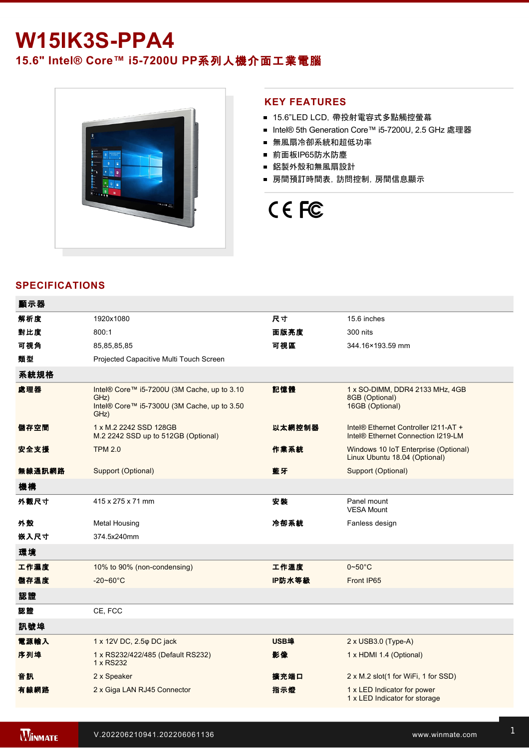# **W15IK3S-PPA4**

# **15.6" Intel® Core™ i57200U PP**系列人機介面工業電腦



### **KEY FEATURES**

- 15.6"LED LCD, 帶投射電容式多點觸控螢幕
- Intel® 5th Generation Core™ i5-7200U, 2.5 GHz 處理器
- 無風扇冷卻系統和超低功率
- 前面板IP65防水防塵
- 鋁製外殼和無風扇設計
- 房間預訂時間表,訪問控制,房間信息顯示

# CE FC

## **SPECIFICATIONS**

| 顯示器    |                                                                                                            |        |                                                                            |
|--------|------------------------------------------------------------------------------------------------------------|--------|----------------------------------------------------------------------------|
| 解析度    | 1920x1080                                                                                                  | 尺寸     | 15.6 inches                                                                |
| 對比度    | 800:1                                                                                                      | 面版亮度   | 300 nits                                                                   |
| 可視角    | 85,85,85,85                                                                                                | 可視區    | 344.16×193.59 mm                                                           |
| 類型     | Projected Capacitive Multi Touch Screen                                                                    |        |                                                                            |
| 系統規格   |                                                                                                            |        |                                                                            |
| 處理器    | Intel® Core™ i5-7200U (3M Cache, up to 3.10<br>GHz)<br>Intel® Core™ i5-7300U (3M Cache, up to 3.50<br>GHz) | 記憶體    | 1 x SO-DIMM, DDR4 2133 MHz, 4GB<br>8GB (Optional)<br>16GB (Optional)       |
| 儲存空間   | 1 x M.2 2242 SSD 128GB<br>M.2 2242 SSD up to 512GB (Optional)                                              | 以太網控制器 | Intel® Ethernet Controller I211-AT +<br>Intel® Ethernet Connection I219-LM |
| 安全支援   | <b>TPM 2.0</b>                                                                                             | 作業系統   | Windows 10 IoT Enterprise (Optional)<br>Linux Ubuntu 18.04 (Optional)      |
| 無線通訊網路 | Support (Optional)                                                                                         | 藍牙     | Support (Optional)                                                         |
| 機構     |                                                                                                            |        |                                                                            |
| 外觀尺寸   | 415 x 275 x 71 mm                                                                                          | 安装     | Panel mount<br><b>VESA Mount</b>                                           |
| 外殼     | <b>Metal Housing</b>                                                                                       | 冷卻系統   | Fanless design                                                             |
| 嵌入尺寸   | 374.5x240mm                                                                                                |        |                                                                            |
| 環境     |                                                                                                            |        |                                                                            |
| 工作濕度   | 10% to 90% (non-condensing)                                                                                | 工作溫度   | $0 - 50^{\circ}$ C                                                         |
| 儲存溫度   | $-20 - 60^{\circ}$ C                                                                                       | IP防水等級 | Front IP65                                                                 |
| 認證     |                                                                                                            |        |                                                                            |
| 認證     | CE, FCC                                                                                                    |        |                                                                            |
| 訊號埠    |                                                                                                            |        |                                                                            |
| 電源輸入   | 1 x 12V DC, 2.5 $\varphi$ DC jack                                                                          | USB埠   | 2 x USB3.0 (Type-A)                                                        |
| 序列埠    | 1 x RS232/422/485 (Default RS232)<br>1 x RS232                                                             | 影像     | 1 x HDMI 1.4 (Optional)                                                    |
| 音訊     | 2 x Speaker                                                                                                | 擴充端口   | 2 x M.2 slot(1 for WiFi, 1 for SSD)                                        |
| 有線網路   | 2 x Giga LAN RJ45 Connector                                                                                | 指示燈    | 1 x LED Indicator for power<br>1 x LED Indicator for storage               |
|        |                                                                                                            |        |                                                                            |